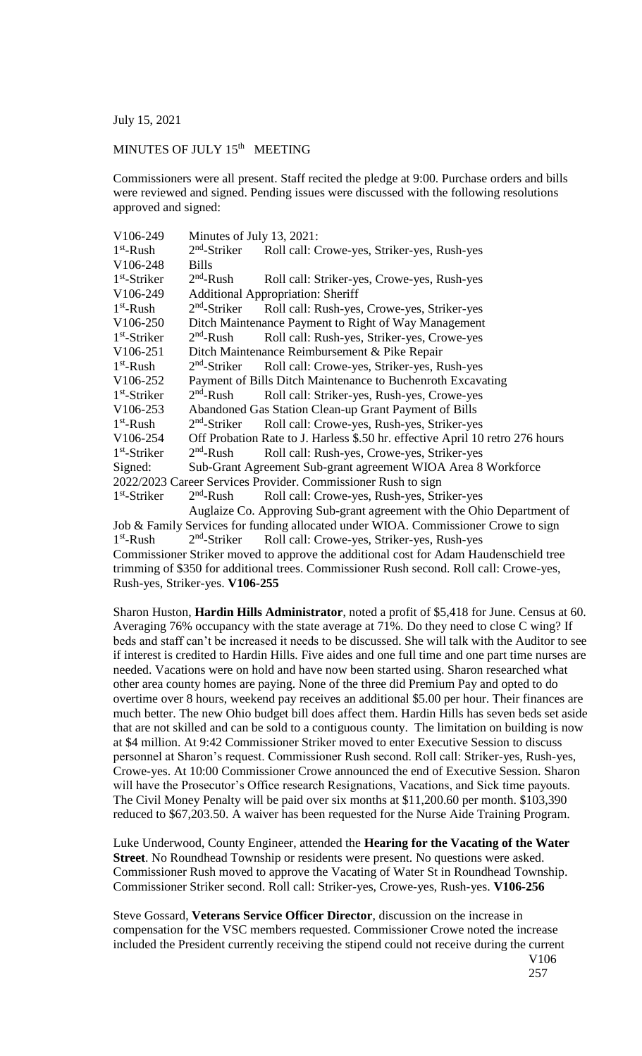July 15, 2021

## MINUTES OF JULY 15<sup>th</sup> MEETING

Commissioners were all present. Staff recited the pledge at 9:00. Purchase orders and bills were reviewed and signed. Pending issues were discussed with the following resolutions approved and signed:

| V106-249                                                      | Minutes of July 13, 2021:                                                     |                                                                        |
|---------------------------------------------------------------|-------------------------------------------------------------------------------|------------------------------------------------------------------------|
| $1st$ -Rush                                                   | $2nd$ -Striker                                                                | Roll call: Crowe-yes, Striker-yes, Rush-yes                            |
| V106-248                                                      | <b>Bills</b>                                                                  |                                                                        |
| $1st$ -Striker                                                | $2nd$ -Rush                                                                   | Roll call: Striker-yes, Crowe-yes, Rush-yes                            |
| V106-249                                                      | <b>Additional Appropriation: Sheriff</b>                                      |                                                                        |
| $1st$ -Rush                                                   | $2nd$ -Striker                                                                | Roll call: Rush-yes, Crowe-yes, Striker-yes                            |
| V106-250                                                      | Ditch Maintenance Payment to Right of Way Management                          |                                                                        |
| $1st$ -Striker                                                | $2nd$ -Rush                                                                   | Roll call: Rush-yes, Striker-yes, Crowe-yes                            |
| V106-251                                                      | Ditch Maintenance Reimbursement & Pike Repair                                 |                                                                        |
| $1st$ -Rush                                                   |                                                                               | 2 <sup>nd</sup> -Striker Roll call: Crowe-yes, Striker-yes, Rush-yes   |
| V106-252                                                      | Payment of Bills Ditch Maintenance to Buchenroth Excavating                   |                                                                        |
| $1st$ -Striker                                                | $2nd$ -Rush                                                                   | Roll call: Striker-yes, Rush-yes, Crowe-yes                            |
| V106-253                                                      | Abandoned Gas Station Clean-up Grant Payment of Bills                         |                                                                        |
| $1st$ -Rush                                                   | $2nd$ -Striker                                                                | Roll call: Crowe-yes, Rush-yes, Striker-yes                            |
| V106-254                                                      | Off Probation Rate to J. Harless \$.50 hr. effective April 10 retro 276 hours |                                                                        |
| $1st$ -Striker                                                | $2nd$ -Rush                                                                   | Roll call: Rush-yes, Crowe-yes, Striker-yes                            |
| Signed:                                                       | Sub-Grant Agreement Sub-grant agreement WIOA Area 8 Workforce                 |                                                                        |
| 2022/2023 Career Services Provider. Commissioner Rush to sign |                                                                               |                                                                        |
| $1st$ -Striker                                                | $2nd$ -Rush                                                                   | Roll call: Crowe-yes, Rush-yes, Striker-yes                            |
|                                                               |                                                                               | Auglaize Co. Approving Sub-grant agreement with the Ohio Department of |

Job & Family Services for funding allocated under WIOA. Commissioner Crowe to sign  $1<sup>st</sup>$ -Rush 2  $2<sup>nd</sup>$ -Striker Roll call: Crowe-yes, Striker-yes, Rush-yes Commissioner Striker moved to approve the additional cost for Adam Haudenschield tree trimming of \$350 for additional trees. Commissioner Rush second. Roll call: Crowe-yes, Rush-yes, Striker-yes. **V106-255**

Sharon Huston, **Hardin Hills Administrator**, noted a profit of \$5,418 for June. Census at 60. Averaging 76% occupancy with the state average at 71%. Do they need to close C wing? If beds and staff can't be increased it needs to be discussed. She will talk with the Auditor to see if interest is credited to Hardin Hills. Five aides and one full time and one part time nurses are needed. Vacations were on hold and have now been started using. Sharon researched what other area county homes are paying. None of the three did Premium Pay and opted to do overtime over 8 hours, weekend pay receives an additional \$5.00 per hour. Their finances are much better. The new Ohio budget bill does affect them. Hardin Hills has seven beds set aside that are not skilled and can be sold to a contiguous county. The limitation on building is now at \$4 million. At 9:42 Commissioner Striker moved to enter Executive Session to discuss personnel at Sharon's request. Commissioner Rush second. Roll call: Striker-yes, Rush-yes, Crowe-yes. At 10:00 Commissioner Crowe announced the end of Executive Session. Sharon will have the Prosecutor's Office research Resignations, Vacations, and Sick time payouts. The Civil Money Penalty will be paid over six months at \$11,200.60 per month. \$103,390 reduced to \$67,203.50. A waiver has been requested for the Nurse Aide Training Program.

Luke Underwood, County Engineer, attended the **Hearing for the Vacating of the Water Street**. No Roundhead Township or residents were present. No questions were asked. Commissioner Rush moved to approve the Vacating of Water St in Roundhead Township. Commissioner Striker second. Roll call: Striker-yes, Crowe-yes, Rush-yes. **V106-256**

Steve Gossard, **Veterans Service Officer Director**, discussion on the increase in compensation for the VSC members requested. Commissioner Crowe noted the increase included the President currently receiving the stipend could not receive during the current V106